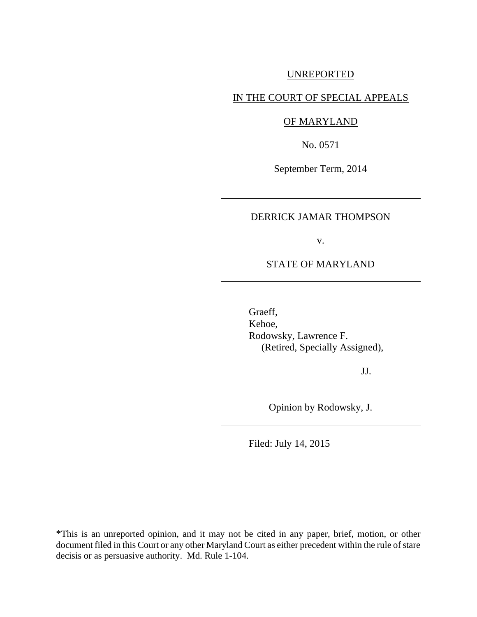# UNREPORTED

# IN THE COURT OF SPECIAL APPEALS

## OF MARYLAND

No. 0571

September Term, 2014

## DERRICK JAMAR THOMPSON

v.

### STATE OF MARYLAND

Graeff, Kehoe, Rodowsky, Lawrence F. (Retired, Specially Assigned),

JJ.

Opinion by Rodowsky, J.

Filed: July 14, 2015

\*This is an unreported opinion, and it may not be cited in any paper, brief, motion, or other document filed in this Court or any other Maryland Court as either precedent within the rule of stare decisis or as persuasive authority. Md. Rule 1-104.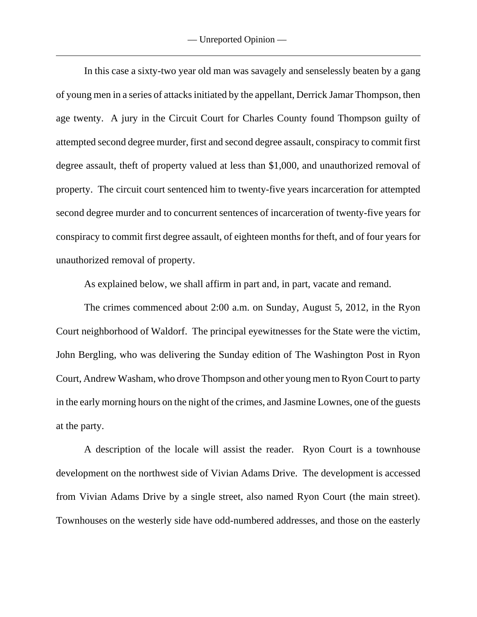In this case a sixty-two year old man was savagely and senselessly beaten by a gang of young men in a series of attacks initiated by the appellant, Derrick Jamar Thompson, then age twenty. A jury in the Circuit Court for Charles County found Thompson guilty of attempted second degree murder, first and second degree assault, conspiracy to commit first degree assault, theft of property valued at less than \$1,000, and unauthorized removal of property. The circuit court sentenced him to twenty-five years incarceration for attempted second degree murder and to concurrent sentences of incarceration of twenty-five years for conspiracy to commit first degree assault, of eighteen months for theft, and of four years for unauthorized removal of property.

As explained below, we shall affirm in part and, in part, vacate and remand.

The crimes commenced about 2:00 a.m. on Sunday, August 5, 2012, in the Ryon Court neighborhood of Waldorf. The principal eyewitnesses for the State were the victim, John Bergling, who was delivering the Sunday edition of The Washington Post in Ryon Court, Andrew Washam, who drove Thompson and other young men to Ryon Court to party in the early morning hours on the night of the crimes, and Jasmine Lownes, one of the guests at the party.

A description of the locale will assist the reader. Ryon Court is a townhouse development on the northwest side of Vivian Adams Drive. The development is accessed from Vivian Adams Drive by a single street, also named Ryon Court (the main street). Townhouses on the westerly side have odd-numbered addresses, and those on the easterly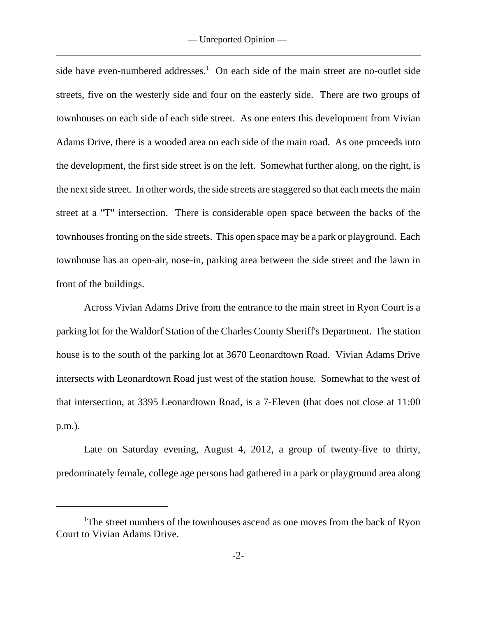side have even-numbered addresses.<sup>1</sup> On each side of the main street are no-outlet side streets, five on the westerly side and four on the easterly side. There are two groups of townhouses on each side of each side street. As one enters this development from Vivian Adams Drive, there is a wooded area on each side of the main road. As one proceeds into the development, the first side street is on the left. Somewhat further along, on the right, is the next side street. In other words, the side streets are staggered so that each meets the main street at a "T" intersection. There is considerable open space between the backs of the townhouses fronting on the side streets. This open space may be a park or playground. Each townhouse has an open-air, nose-in, parking area between the side street and the lawn in front of the buildings.

Across Vivian Adams Drive from the entrance to the main street in Ryon Court is a parking lot for the Waldorf Station of the Charles County Sheriff's Department. The station house is to the south of the parking lot at 3670 Leonardtown Road. Vivian Adams Drive intersects with Leonardtown Road just west of the station house. Somewhat to the west of that intersection, at 3395 Leonardtown Road, is a 7-Eleven (that does not close at 11:00 p.m.).

Late on Saturday evening, August 4, 2012, a group of twenty-five to thirty, predominately female, college age persons had gathered in a park or playground area along

<sup>&</sup>lt;sup>1</sup>The street numbers of the townhouses ascend as one moves from the back of Ryon Court to Vivian Adams Drive.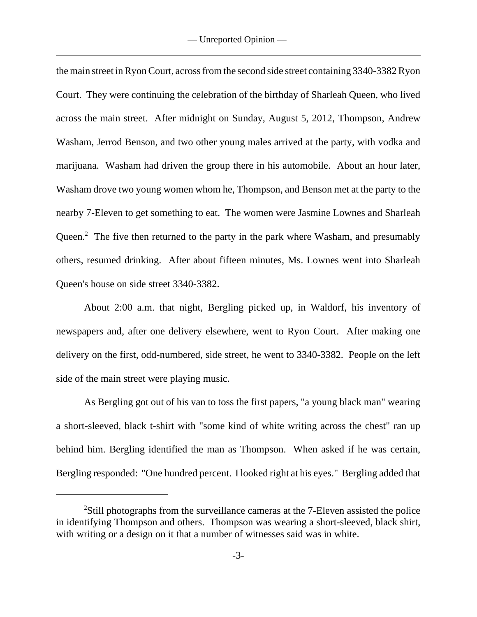the main street in Ryon Court, across from the second side street containing 3340-3382 Ryon Court. They were continuing the celebration of the birthday of Sharleah Queen, who lived across the main street. After midnight on Sunday, August 5, 2012, Thompson, Andrew Washam, Jerrod Benson, and two other young males arrived at the party, with vodka and marijuana. Washam had driven the group there in his automobile. About an hour later, Washam drove two young women whom he, Thompson, and Benson met at the party to the nearby 7-Eleven to get something to eat. The women were Jasmine Lownes and Sharleah Queen. $\degree$  The five then returned to the party in the park where Washam, and presumably others, resumed drinking. After about fifteen minutes, Ms. Lownes went into Sharleah Queen's house on side street 3340-3382.

About 2:00 a.m. that night, Bergling picked up, in Waldorf, his inventory of newspapers and, after one delivery elsewhere, went to Ryon Court. After making one delivery on the first, odd-numbered, side street, he went to 3340-3382. People on the left side of the main street were playing music.

As Bergling got out of his van to toss the first papers, "a young black man" wearing a short-sleeved, black t-shirt with "some kind of white writing across the chest" ran up behind him. Bergling identified the man as Thompson. When asked if he was certain, Bergling responded: "One hundred percent. I looked right at his eyes." Bergling added that

<sup>&</sup>lt;sup>2</sup>Still photographs from the surveillance cameras at the 7-Eleven assisted the police in identifying Thompson and others. Thompson was wearing a short-sleeved, black shirt, with writing or a design on it that a number of witnesses said was in white.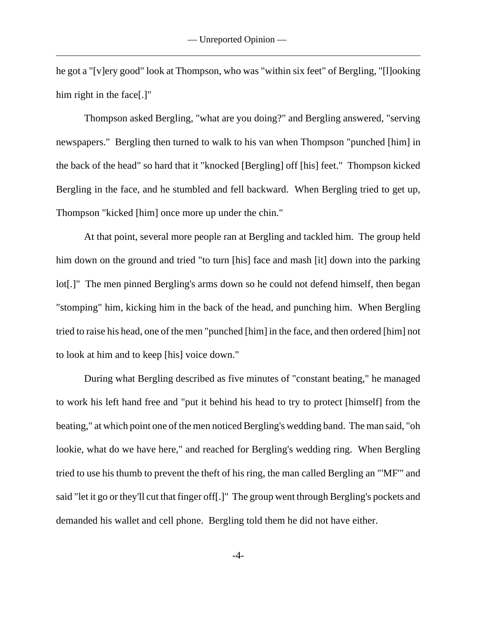he got a "[v]ery good" look at Thompson, who was "within six feet" of Bergling, "[l]ooking him right in the face[.]"

Thompson asked Bergling, "what are you doing?" and Bergling answered, "serving newspapers." Bergling then turned to walk to his van when Thompson "punched [him] in the back of the head" so hard that it "knocked [Bergling] off [his] feet." Thompson kicked Bergling in the face, and he stumbled and fell backward. When Bergling tried to get up, Thompson "kicked [him] once more up under the chin."

At that point, several more people ran at Bergling and tackled him. The group held him down on the ground and tried "to turn [his] face and mash [it] down into the parking lot[.]" The men pinned Bergling's arms down so he could not defend himself, then began "stomping" him, kicking him in the back of the head, and punching him. When Bergling tried to raise his head, one of the men "punched [him] in the face, and then ordered [him] not to look at him and to keep [his] voice down."

During what Bergling described as five minutes of "constant beating," he managed to work his left hand free and "put it behind his head to try to protect [himself] from the beating," at which point one of the men noticed Bergling's wedding band. The man said, "oh lookie, what do we have here," and reached for Bergling's wedding ring. When Bergling tried to use his thumb to prevent the theft of his ring, the man called Bergling an "'MF'" and said "let it go or they'll cut that finger off[.]" The group went through Bergling's pockets and demanded his wallet and cell phone. Bergling told them he did not have either.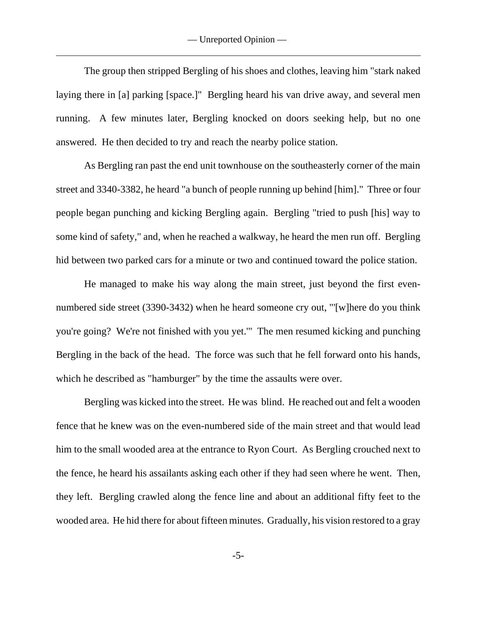— Unreported Opinion —

The group then stripped Bergling of his shoes and clothes, leaving him "stark naked laying there in [a] parking [space.]" Bergling heard his van drive away, and several men running. A few minutes later, Bergling knocked on doors seeking help, but no one answered. He then decided to try and reach the nearby police station.

As Bergling ran past the end unit townhouse on the southeasterly corner of the main street and 3340-3382, he heard "a bunch of people running up behind [him]." Three or four people began punching and kicking Bergling again. Bergling "tried to push [his] way to some kind of safety," and, when he reached a walkway, he heard the men run off. Bergling hid between two parked cars for a minute or two and continued toward the police station.

He managed to make his way along the main street, just beyond the first evennumbered side street (3390-3432) when he heard someone cry out, "'[w]here do you think you're going? We're not finished with you yet.'" The men resumed kicking and punching Bergling in the back of the head. The force was such that he fell forward onto his hands, which he described as "hamburger" by the time the assaults were over.

Bergling was kicked into the street. He was blind. He reached out and felt a wooden fence that he knew was on the even-numbered side of the main street and that would lead him to the small wooded area at the entrance to Ryon Court. As Bergling crouched next to the fence, he heard his assailants asking each other if they had seen where he went. Then, they left. Bergling crawled along the fence line and about an additional fifty feet to the wooded area. He hid there for about fifteen minutes. Gradually, his vision restored to a gray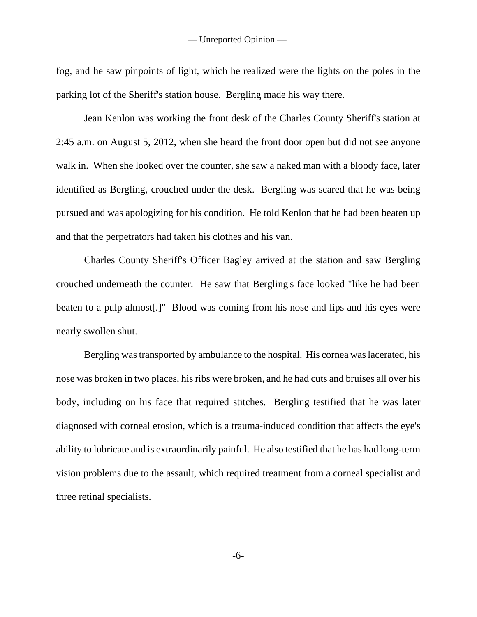fog, and he saw pinpoints of light, which he realized were the lights on the poles in the parking lot of the Sheriff's station house. Bergling made his way there.

Jean Kenlon was working the front desk of the Charles County Sheriff's station at 2:45 a.m. on August 5, 2012, when she heard the front door open but did not see anyone walk in. When she looked over the counter, she saw a naked man with a bloody face, later identified as Bergling, crouched under the desk. Bergling was scared that he was being pursued and was apologizing for his condition. He told Kenlon that he had been beaten up and that the perpetrators had taken his clothes and his van.

Charles County Sheriff's Officer Bagley arrived at the station and saw Bergling crouched underneath the counter. He saw that Bergling's face looked "like he had been beaten to a pulp almost[.]" Blood was coming from his nose and lips and his eyes were nearly swollen shut.

Bergling was transported by ambulance to the hospital. His cornea was lacerated, his nose was broken in two places, his ribs were broken, and he had cuts and bruises all over his body, including on his face that required stitches. Bergling testified that he was later diagnosed with corneal erosion, which is a trauma-induced condition that affects the eye's ability to lubricate and is extraordinarily painful. He also testified that he has had long-term vision problems due to the assault, which required treatment from a corneal specialist and three retinal specialists.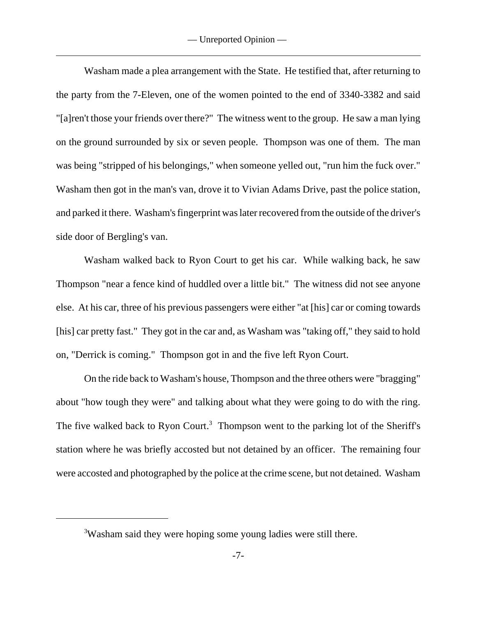Washam made a plea arrangement with the State. He testified that, after returning to the party from the 7-Eleven, one of the women pointed to the end of 3340-3382 and said "[a]ren't those your friends over there?" The witness went to the group. He saw a man lying on the ground surrounded by six or seven people. Thompson was one of them. The man was being "stripped of his belongings," when someone yelled out, "run him the fuck over." Washam then got in the man's van, drove it to Vivian Adams Drive, past the police station, and parked it there. Washam's fingerprint was later recovered from the outside of the driver's side door of Bergling's van.

Washam walked back to Ryon Court to get his car. While walking back, he saw Thompson "near a fence kind of huddled over a little bit." The witness did not see anyone else. At his car, three of his previous passengers were either "at [his] car or coming towards [his] car pretty fast." They got in the car and, as Washam was "taking off," they said to hold on, "Derrick is coming." Thompson got in and the five left Ryon Court.

On the ride back to Washam's house, Thompson and the three others were "bragging" about "how tough they were" and talking about what they were going to do with the ring. The five walked back to Ryon Court.<sup>3</sup> Thompson went to the parking lot of the Sheriff's station where he was briefly accosted but not detained by an officer. The remaining four were accosted and photographed by the police at the crime scene, but not detained. Washam

<sup>&</sup>lt;sup>3</sup>Washam said they were hoping some young ladies were still there.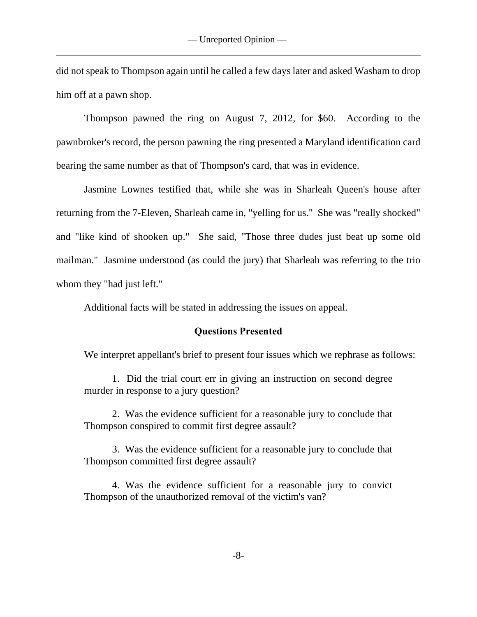did not speak to Thompson again until he called a few days later and asked Washam to drop him off at a pawn shop.

Thompson pawned the ring on August 7, 2012, for \$60. According to the pawnbroker's record, the person pawning the ring presented a Maryland identification card bearing the same number as that of Thompson's card, that was in evidence.

Jasmine Lownes testified that, while she was in Sharleah Queen's house after returning from the 7-Eleven, Sharleah came in, "yelling for us." She was "really shocked" and "like kind of shooken up." She said, "Those three dudes just beat up some old mailman." Jasmine understood (as could the jury) that Sharleah was referring to the trio whom they "had just left."

Additional facts will be stated in addressing the issues on appeal.

## **Questions Presented**

We interpret appellant's brief to present four issues which we rephrase as follows:

1. Did the trial court err in giving an instruction on second degree murder in response to a jury question?

2. Was the evidence sufficient for a reasonable jury to conclude that Thompson conspired to commit first degree assault?

3. Was the evidence sufficient for a reasonable jury to conclude that Thompson committed first degree assault?

4. Was the evidence sufficient for a reasonable jury to convict Thompson of the unauthorized removal of the victim's van?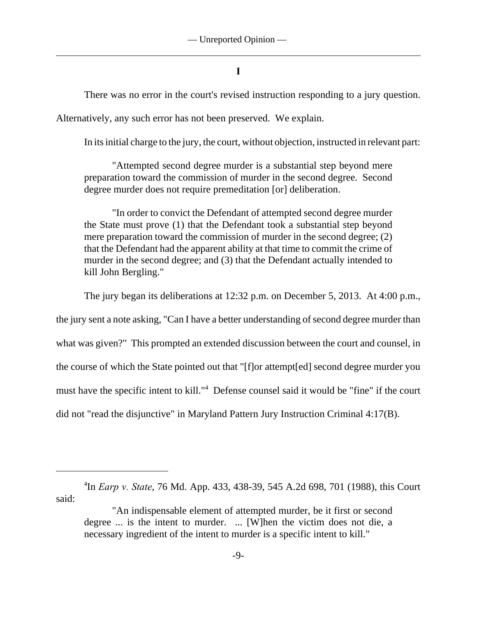## **I**

There was no error in the court's revised instruction responding to a jury question.

Alternatively, any such error has not been preserved. We explain.

In its initial charge to the jury, the court, without objection, instructed in relevant part:

"Attempted second degree murder is a substantial step beyond mere preparation toward the commission of murder in the second degree. Second degree murder does not require premeditation [or] deliberation.

"In order to convict the Defendant of attempted second degree murder the State must prove (1) that the Defendant took a substantial step beyond mere preparation toward the commission of murder in the second degree; (2) that the Defendant had the apparent ability at that time to commit the crime of murder in the second degree; and (3) that the Defendant actually intended to kill John Bergling."

The jury began its deliberations at 12:32 p.m. on December 5, 2013. At 4:00 p.m.,

the jury sent a note asking, "Can I have a better understanding of second degree murder than

what was given?" This prompted an extended discussion between the court and counsel, in

the course of which the State pointed out that "[f]or attempt[ed] second degree murder you

must have the specific intent to kill."<sup>4</sup> Defense counsel said it would be "fine" if the court

did not "read the disjunctive" in Maryland Pattern Jury Instruction Criminal 4:17(B).

<sup>&</sup>lt;sup>4</sup>In *Earp v. State*, 76 Md. App. 433, 438-39, 545 A.2d 698, 701 (1988), this Court said:

<sup>&</sup>quot;An indispensable element of attempted murder, be it first or second degree ... is the intent to murder. ... [W]hen the victim does not die, a necessary ingredient of the intent to murder is a specific intent to kill."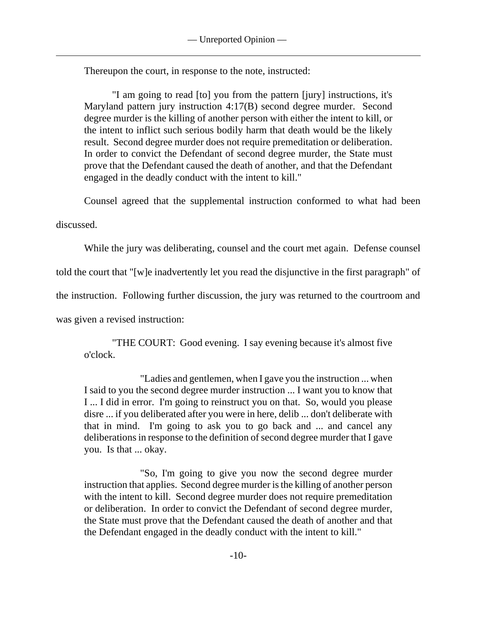Thereupon the court, in response to the note, instructed:

"I am going to read [to] you from the pattern [jury] instructions, it's Maryland pattern jury instruction 4:17(B) second degree murder. Second degree murder is the killing of another person with either the intent to kill, or the intent to inflict such serious bodily harm that death would be the likely result. Second degree murder does not require premeditation or deliberation. In order to convict the Defendant of second degree murder, the State must prove that the Defendant caused the death of another, and that the Defendant engaged in the deadly conduct with the intent to kill."

Counsel agreed that the supplemental instruction conformed to what had been

discussed.

While the jury was deliberating, counsel and the court met again. Defense counsel

told the court that "[w]e inadvertently let you read the disjunctive in the first paragraph" of

the instruction. Following further discussion, the jury was returned to the courtroom and

was given a revised instruction:

"THE COURT: Good evening. I say evening because it's almost five o'clock.

"Ladies and gentlemen, when I gave you the instruction ... when I said to you the second degree murder instruction ... I want you to know that I ... I did in error. I'm going to reinstruct you on that. So, would you please disre ... if you deliberated after you were in here, delib ... don't deliberate with that in mind. I'm going to ask you to go back and ... and cancel any deliberations in response to the definition of second degree murder that I gave you. Is that ... okay.

"So, I'm going to give you now the second degree murder instruction that applies. Second degree murder is the killing of another person with the intent to kill. Second degree murder does not require premeditation or deliberation. In order to convict the Defendant of second degree murder, the State must prove that the Defendant caused the death of another and that the Defendant engaged in the deadly conduct with the intent to kill."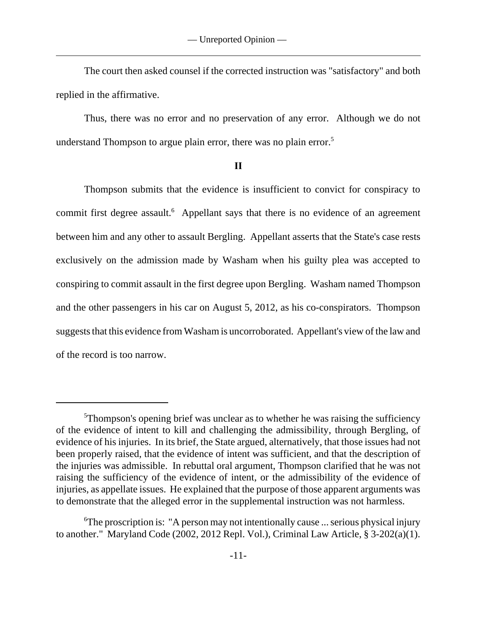The court then asked counsel if the corrected instruction was "satisfactory" and both replied in the affirmative.

Thus, there was no error and no preservation of any error. Although we do not understand Thompson to argue plain error, there was no plain error.<sup>5</sup>

### **II**

Thompson submits that the evidence is insufficient to convict for conspiracy to commit first degree assault.<sup>6</sup> Appellant says that there is no evidence of an agreement between him and any other to assault Bergling. Appellant asserts that the State's case rests exclusively on the admission made by Washam when his guilty plea was accepted to conspiring to commit assault in the first degree upon Bergling. Washam named Thompson and the other passengers in his car on August 5, 2012, as his co-conspirators. Thompson suggests that this evidence from Washam is uncorroborated. Appellant's view of the law and of the record is too narrow.

<sup>&</sup>lt;sup>5</sup>Thompson's opening brief was unclear as to whether he was raising the sufficiency of the evidence of intent to kill and challenging the admissibility, through Bergling, of evidence of his injuries. In its brief, the State argued, alternatively, that those issues had not been properly raised, that the evidence of intent was sufficient, and that the description of the injuries was admissible. In rebuttal oral argument, Thompson clarified that he was not raising the sufficiency of the evidence of intent, or the admissibility of the evidence of injuries, as appellate issues. He explained that the purpose of those apparent arguments was to demonstrate that the alleged error in the supplemental instruction was not harmless.

<sup>&</sup>lt;sup>6</sup>The proscription is: "A person may not intentionally cause ... serious physical injury to another." Maryland Code (2002, 2012 Repl. Vol.), Criminal Law Article, § 3-202(a)(1).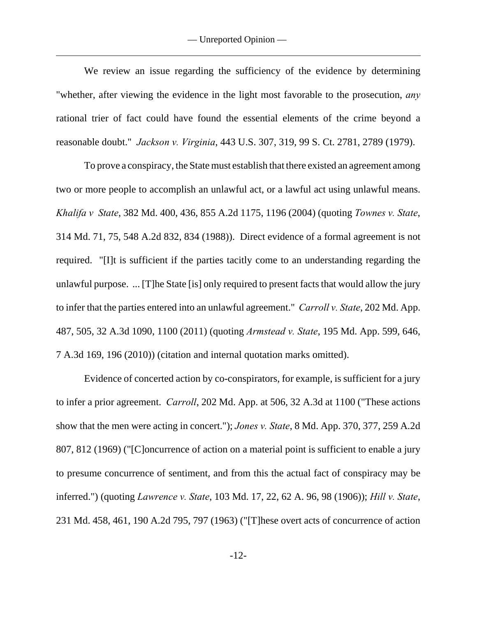We review an issue regarding the sufficiency of the evidence by determining "whether, after viewing the evidence in the light most favorable to the prosecution, *any* rational trier of fact could have found the essential elements of the crime beyond a reasonable doubt." *Jackson v. Virginia*, 443 U.S. 307, 319, 99 S. Ct. 2781, 2789 (1979).

To prove a conspiracy, the State must establish that there existed an agreement among two or more people to accomplish an unlawful act, or a lawful act using unlawful means. *Khalifa v State*, 382 Md. 400, 436, 855 A.2d 1175, 1196 (2004) (quoting *Townes v. State*, 314 Md. 71, 75, 548 A.2d 832, 834 (1988)). Direct evidence of a formal agreement is not required. "[I]t is sufficient if the parties tacitly come to an understanding regarding the unlawful purpose. ... [T]he State [is] only required to present facts that would allow the jury to infer that the parties entered into an unlawful agreement." *Carroll v. State*, 202 Md. App. 487, 505, 32 A.3d 1090, 1100 (2011) (quoting *Armstead v. State*, 195 Md. App. 599, 646, 7 A.3d 169, 196 (2010)) (citation and internal quotation marks omitted).

Evidence of concerted action by co-conspirators, for example, is sufficient for a jury to infer a prior agreement. *Carroll*, 202 Md. App. at 506, 32 A.3d at 1100 ("These actions show that the men were acting in concert."); *Jones v. State*, 8 Md. App. 370, 377, 259 A.2d 807, 812 (1969) ("[C]oncurrence of action on a material point is sufficient to enable a jury to presume concurrence of sentiment, and from this the actual fact of conspiracy may be inferred.") (quoting *Lawrence v. State*, 103 Md. 17, 22, 62 A. 96, 98 (1906)); *Hill v. State*, 231 Md. 458, 461, 190 A.2d 795, 797 (1963) ("[T]hese overt acts of concurrence of action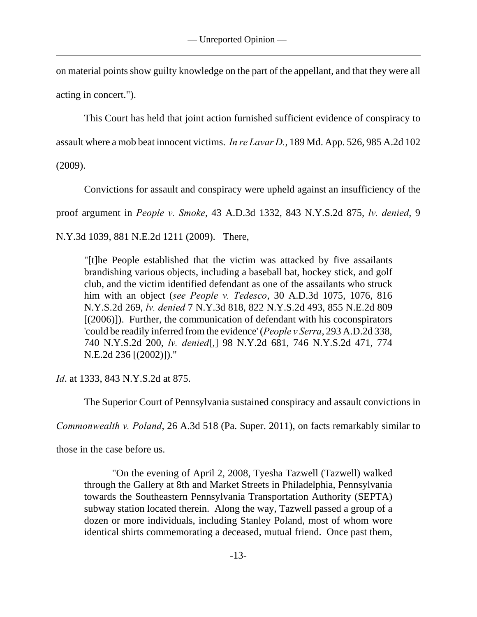on material points show guilty knowledge on the part of the appellant, and that they were all acting in concert.").

This Court has held that joint action furnished sufficient evidence of conspiracy to

assault where a mob beat innocent victims. *In re Lavar D.*, 189 Md. App. 526, 985 A.2d 102

(2009).

Convictions for assault and conspiracy were upheld against an insufficiency of the

proof argument in *People v. Smoke*, 43 A.D.3d 1332, 843 N.Y.S.2d 875, *lv. denied*, 9

N.Y.3d 1039, 881 N.E.2d 1211 (2009). There,

"[t]he People established that the victim was attacked by five assailants brandishing various objects, including a baseball bat, hockey stick, and golf club, and the victim identified defendant as one of the assailants who struck him with an object (*see People v. Tedesco*, 30 A.D.3d 1075, 1076, 816 N.Y.S.2d 269, *lv. denied* 7 N.Y.3d 818, 822 N.Y.S.2d 493, 855 N.E.2d 809 [(2006)]). Further, the communication of defendant with his coconspirators 'could be readily inferred from the evidence' (*People v Serra*, 293 A.D.2d 338, 740 N.Y.S.2d 200, *lv. denied*[,] 98 N.Y.2d 681, 746 N.Y.S.2d 471, 774 N.E.2d 236 [(2002)])."

*Id*. at 1333, 843 N.Y.S.2d at 875.

The Superior Court of Pennsylvania sustained conspiracy and assault convictions in

*Commonwealth v. Poland*, 26 A.3d 518 (Pa. Super. 2011), on facts remarkably similar to

those in the case before us.

"On the evening of April 2, 2008, Tyesha Tazwell (Tazwell) walked through the Gallery at 8th and Market Streets in Philadelphia, Pennsylvania towards the Southeastern Pennsylvania Transportation Authority (SEPTA) subway station located therein. Along the way, Tazwell passed a group of a dozen or more individuals, including Stanley Poland, most of whom wore identical shirts commemorating a deceased, mutual friend. Once past them,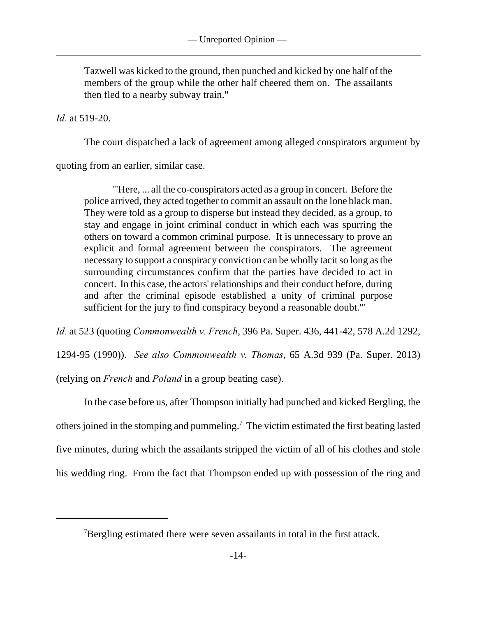Tazwell was kicked to the ground, then punched and kicked by one half of the members of the group while the other half cheered them on. The assailants then fled to a nearby subway train."

# *Id.* at 519-20.

The court dispatched a lack of agreement among alleged conspirators argument by

quoting from an earlier, similar case.

"'Here, ... all the co-conspirators acted as a group in concert. Before the police arrived, they acted together to commit an assault on the lone black man. They were told as a group to disperse but instead they decided, as a group, to stay and engage in joint criminal conduct in which each was spurring the others on toward a common criminal purpose. It is unnecessary to prove an explicit and formal agreement between the conspirators. The agreement necessary to support a conspiracy conviction can be wholly tacit so long as the surrounding circumstances confirm that the parties have decided to act in concert. In this case, the actors' relationships and their conduct before, during and after the criminal episode established a unity of criminal purpose sufficient for the jury to find conspiracy beyond a reasonable doubt.'"

*Id.* at 523 (quoting *Commonwealth v. French*, 396 Pa. Super. 436, 441-42, 578 A.2d 1292,

1294-95 (1990)). *See also Commonwealth v. Thomas*, 65 A.3d 939 (Pa. Super. 2013)

(relying on *French* and *Poland* in a group beating case).

In the case before us, after Thompson initially had punched and kicked Bergling, the others joined in the stomping and pummeling.<sup>7</sup> The victim estimated the first beating lasted five minutes, during which the assailants stripped the victim of all of his clothes and stole his wedding ring. From the fact that Thompson ended up with possession of the ring and

 $\beta$ Bergling estimated there were seven assailants in total in the first attack.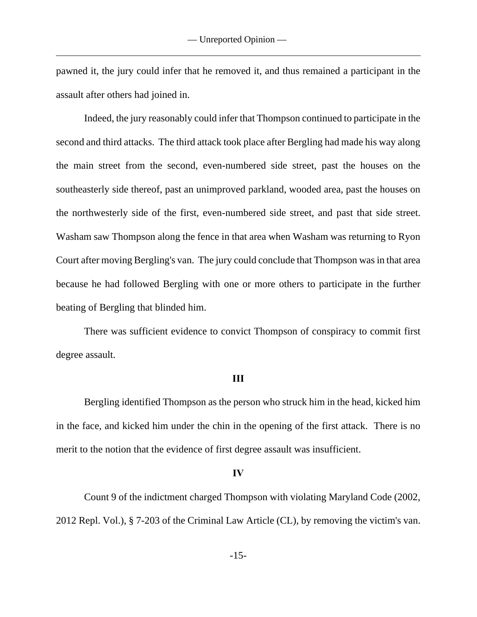pawned it, the jury could infer that he removed it, and thus remained a participant in the assault after others had joined in.

Indeed, the jury reasonably could infer that Thompson continued to participate in the second and third attacks. The third attack took place after Bergling had made his way along the main street from the second, even-numbered side street, past the houses on the southeasterly side thereof, past an unimproved parkland, wooded area, past the houses on the northwesterly side of the first, even-numbered side street, and past that side street. Washam saw Thompson along the fence in that area when Washam was returning to Ryon Court after moving Bergling's van. The jury could conclude that Thompson was in that area because he had followed Bergling with one or more others to participate in the further beating of Bergling that blinded him.

There was sufficient evidence to convict Thompson of conspiracy to commit first degree assault.

## **III**

Bergling identified Thompson as the person who struck him in the head, kicked him in the face, and kicked him under the chin in the opening of the first attack. There is no merit to the notion that the evidence of first degree assault was insufficient.

#### **IV**

Count 9 of the indictment charged Thompson with violating Maryland Code (2002, 2012 Repl. Vol.), § 7-203 of the Criminal Law Article (CL), by removing the victim's van.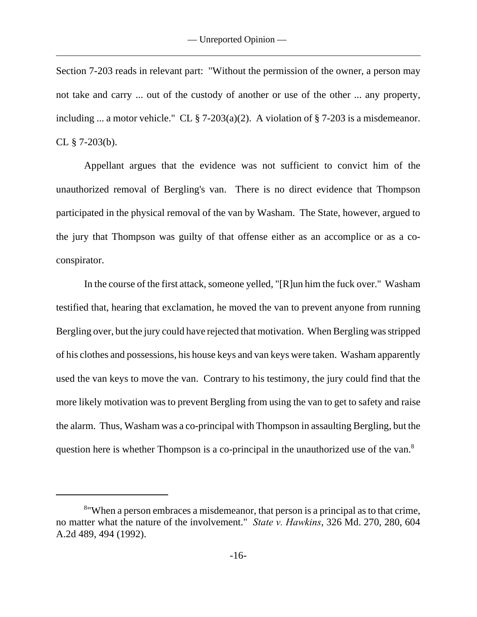Section 7-203 reads in relevant part: "Without the permission of the owner, a person may not take and carry ... out of the custody of another or use of the other ... any property, including ... a motor vehicle." CL  $\S$  7-203(a)(2). A violation of  $\S$  7-203 is a misdemeanor. CL  $\S$  7-203(b).

Appellant argues that the evidence was not sufficient to convict him of the unauthorized removal of Bergling's van. There is no direct evidence that Thompson participated in the physical removal of the van by Washam. The State, however, argued to the jury that Thompson was guilty of that offense either as an accomplice or as a coconspirator.

In the course of the first attack, someone yelled, "[R]un him the fuck over." Washam testified that, hearing that exclamation, he moved the van to prevent anyone from running Bergling over, but the jury could have rejected that motivation. When Bergling was stripped of his clothes and possessions, his house keys and van keys were taken. Washam apparently used the van keys to move the van. Contrary to his testimony, the jury could find that the more likely motivation was to prevent Bergling from using the van to get to safety and raise the alarm. Thus, Washam was a co-principal with Thompson in assaulting Bergling, but the question here is whether Thompson is a co-principal in the unauthorized use of the van.<sup>8</sup>

<sup>&</sup>lt;sup>8</sup> When a person embraces a misdemeanor, that person is a principal as to that crime, no matter what the nature of the involvement." *State v. Hawkins*, 326 Md. 270, 280, 604 A.2d 489, 494 (1992).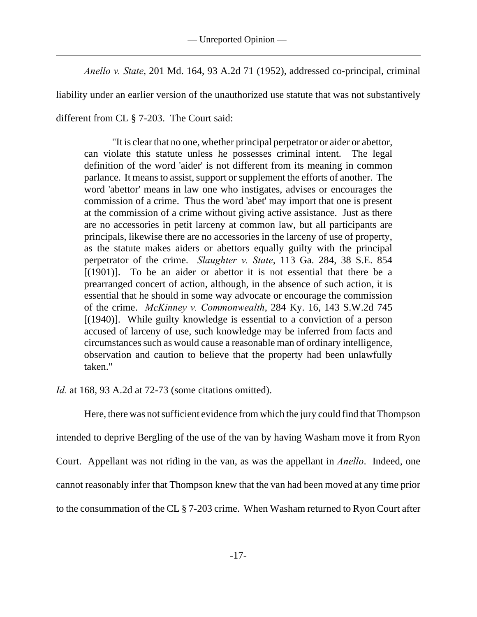*Anello v. State*, 201 Md. 164, 93 A.2d 71 (1952), addressed co-principal, criminal

liability under an earlier version of the unauthorized use statute that was not substantively

different from CL § 7-203. The Court said:

"It is clear that no one, whether principal perpetrator or aider or abettor, can violate this statute unless he possesses criminal intent. The legal definition of the word 'aider' is not different from its meaning in common parlance. It means to assist, support or supplement the efforts of another. The word 'abettor' means in law one who instigates, advises or encourages the commission of a crime. Thus the word 'abet' may import that one is present at the commission of a crime without giving active assistance. Just as there are no accessories in petit larceny at common law, but all participants are principals, likewise there are no accessories in the larceny of use of property, as the statute makes aiders or abettors equally guilty with the principal perpetrator of the crime. *Slaughter v. State*, 113 Ga. 284, 38 S.E. 854 [(1901)]. To be an aider or abettor it is not essential that there be a prearranged concert of action, although, in the absence of such action, it is essential that he should in some way advocate or encourage the commission of the crime. *McKinney v. Commonwealth*, 284 Ky. 16, 143 S.W.2d 745 [(1940)]. While guilty knowledge is essential to a conviction of a person accused of larceny of use, such knowledge may be inferred from facts and circumstances such as would cause a reasonable man of ordinary intelligence, observation and caution to believe that the property had been unlawfully taken."

*Id.* at 168, 93 A.2d at 72-73 (some citations omitted).

Here, there was not sufficient evidence from which the jury could find that Thompson intended to deprive Bergling of the use of the van by having Washam move it from Ryon Court. Appellant was not riding in the van, as was the appellant in *Anello*. Indeed, one cannot reasonably infer that Thompson knew that the van had been moved at any time prior to the consummation of the CL § 7-203 crime. When Washam returned to Ryon Court after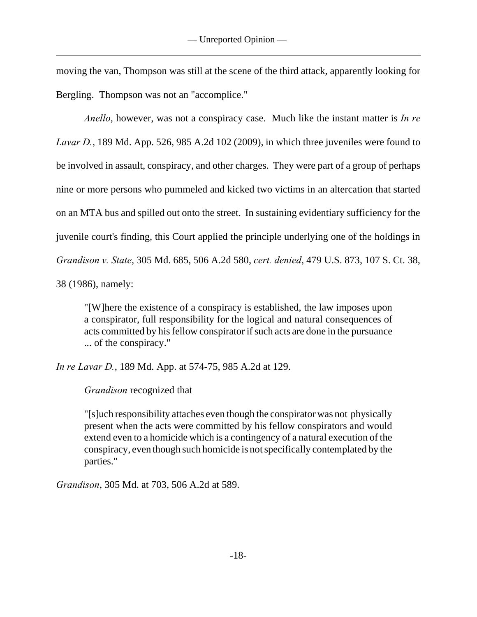moving the van, Thompson was still at the scene of the third attack, apparently looking for Bergling. Thompson was not an "accomplice."

*Anello*, however, was not a conspiracy case. Much like the instant matter is *In re Lavar D.*, 189 Md. App. 526, 985 A.2d 102 (2009), in which three juveniles were found to be involved in assault, conspiracy, and other charges. They were part of a group of perhaps nine or more persons who pummeled and kicked two victims in an altercation that started on an MTA bus and spilled out onto the street. In sustaining evidentiary sufficiency for the juvenile court's finding, this Court applied the principle underlying one of the holdings in *Grandison v. State*, 305 Md. 685, 506 A.2d 580, *cert. denied*, 479 U.S. 873, 107 S. Ct. 38, 38 (1986), namely:

"[W]here the existence of a conspiracy is established, the law imposes upon a conspirator, full responsibility for the logical and natural consequences of acts committed by his fellow conspirator if such acts are done in the pursuance ... of the conspiracy."

*In re Lavar D.*, 189 Md. App. at 574-75, 985 A.2d at 129.

*Grandison* recognized that

"[s]uch responsibility attaches even though the conspirator was not physically present when the acts were committed by his fellow conspirators and would extend even to a homicide which is a contingency of a natural execution of the conspiracy, even though such homicide is not specifically contemplated by the parties."

*Grandison*, 305 Md. at 703, 506 A.2d at 589.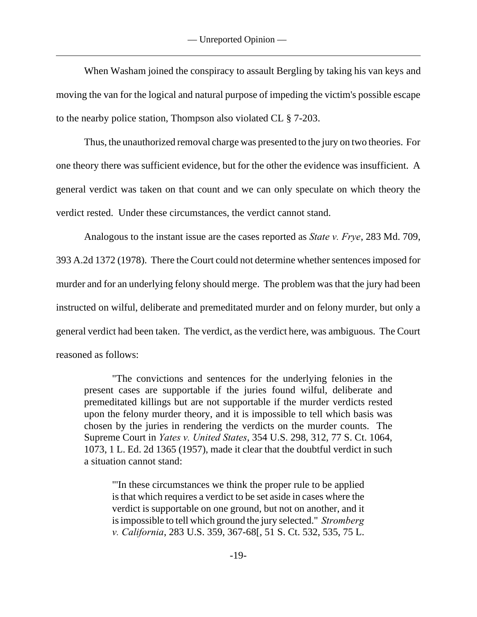— Unreported Opinion —

 When Washam joined the conspiracy to assault Bergling by taking his van keys and moving the van for the logical and natural purpose of impeding the victim's possible escape to the nearby police station, Thompson also violated CL § 7-203.

Thus, the unauthorized removal charge was presented to the jury on two theories. For one theory there was sufficient evidence, but for the other the evidence was insufficient. A general verdict was taken on that count and we can only speculate on which theory the verdict rested. Under these circumstances, the verdict cannot stand.

Analogous to the instant issue are the cases reported as *State v. Frye*, 283 Md. 709, 393 A.2d 1372 (1978). There the Court could not determine whether sentences imposed for murder and for an underlying felony should merge. The problem was that the jury had been instructed on wilful, deliberate and premeditated murder and on felony murder, but only a general verdict had been taken. The verdict, as the verdict here, was ambiguous. The Court reasoned as follows:

"The convictions and sentences for the underlying felonies in the present cases are supportable if the juries found wilful, deliberate and premeditated killings but are not supportable if the murder verdicts rested upon the felony murder theory, and it is impossible to tell which basis was chosen by the juries in rendering the verdicts on the murder counts. The Supreme Court in *Yates v. United States*, 354 U.S. 298, 312, 77 S. Ct. 1064, 1073, 1 L. Ed. 2d 1365 (1957), made it clear that the doubtful verdict in such a situation cannot stand:

"'In these circumstances we think the proper rule to be applied is that which requires a verdict to be set aside in cases where the verdict is supportable on one ground, but not on another, and it is impossible to tell which ground the jury selected." *Stromberg v. California*, 283 U.S. 359, 367-68[, 51 S. Ct. 532, 535, 75 L.